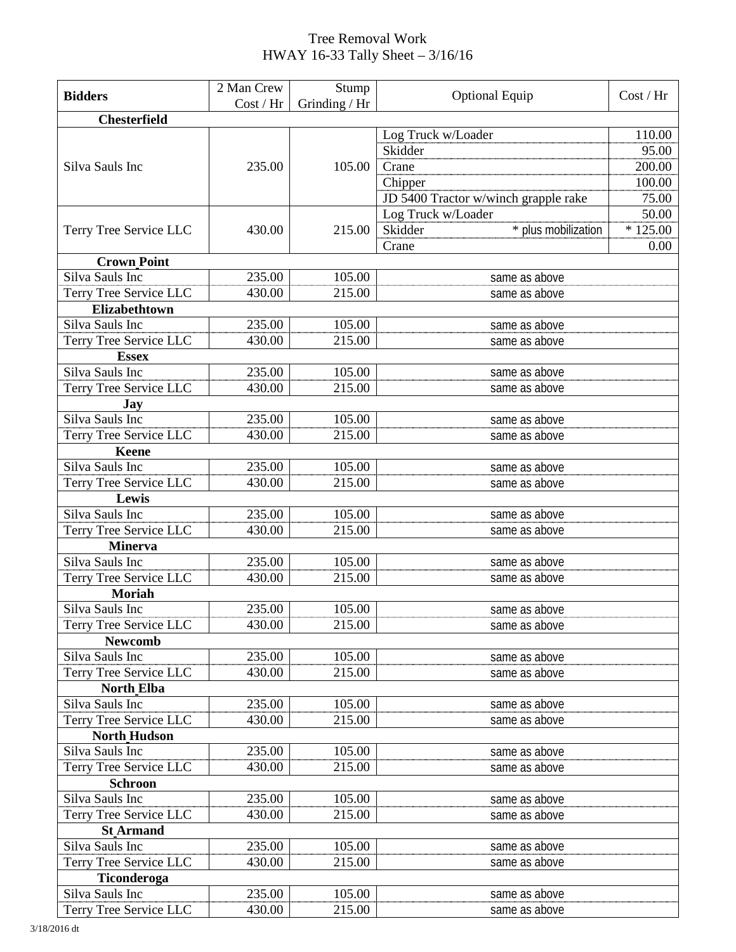## Tree Removal Work HWAY 16-33 Tally Sheet – 3/16/16

|                        | 2 Man Crew | Stump         | <b>Optional Equip</b>                | Cost / Hr |  |  |
|------------------------|------------|---------------|--------------------------------------|-----------|--|--|
| <b>Bidders</b>         | Cost / Hr  | Grinding / Hr |                                      |           |  |  |
| <b>Chesterfield</b>    |            |               |                                      |           |  |  |
|                        |            |               | Log Truck w/Loader                   | 110.00    |  |  |
|                        |            |               | Skidder                              | 95.00     |  |  |
| Silva Sauls Inc        | 235.00     | 105.00        | Crane                                | 200.00    |  |  |
|                        |            |               | Chipper                              | 100.00    |  |  |
|                        |            |               | JD 5400 Tractor w/winch grapple rake | 75.00     |  |  |
|                        |            |               | Log Truck w/Loader                   | 50.00     |  |  |
| Terry Tree Service LLC | 430.00     | 215.00        | * plus mobilization<br>Skidder       | $*125.00$ |  |  |
|                        |            |               | Crane                                | 0.00      |  |  |
| <b>Crown Point</b>     |            |               |                                      |           |  |  |
| Silva Sauls Inc        | 235.00     | 105.00        | same as above                        |           |  |  |
| Terry Tree Service LLC | 430.00     | 215.00        | same as above                        |           |  |  |
| Elizabethtown          |            |               |                                      |           |  |  |
| Silva Sauls Inc        | 235.00     | 105.00        | same as above                        |           |  |  |
| Terry Tree Service LLC | 430.00     | 215.00        | same as above                        |           |  |  |
| <b>Essex</b>           |            |               |                                      |           |  |  |
| Silva Sauls Inc        | 235.00     | 105.00        | same as above                        |           |  |  |
| Terry Tree Service LLC | 430.00     | 215.00        | same as above                        |           |  |  |
| Jay                    |            |               |                                      |           |  |  |
| Silva Sauls Inc        | 235.00     | 105.00        | same as above                        |           |  |  |
| Terry Tree Service LLC | 430.00     | 215.00        | same as above                        |           |  |  |
| <b>Keene</b>           |            |               |                                      |           |  |  |
| Silva Sauls Inc        | 235.00     | 105.00        | same as above                        |           |  |  |
| Terry Tree Service LLC | 430.00     | 215.00        | same as above                        |           |  |  |
| Lewis                  |            |               |                                      |           |  |  |
| Silva Sauls Inc        | 235.00     | 105.00        | same as above                        |           |  |  |
| Terry Tree Service LLC | 430.00     | 215.00        | same as above                        |           |  |  |
| <b>Minerva</b>         |            |               |                                      |           |  |  |
| Silva Sauls Inc        | 235.00     | 105.00        | same as above                        |           |  |  |
| Terry Tree Service LLC | 430.00     | 215.00        | same as above                        |           |  |  |
| <b>Moriah</b>          |            |               |                                      |           |  |  |
| Silva Sauls Inc        | 235.00     | 105.00        | same as above                        |           |  |  |
| Terry Tree Service LLC | 430.00     | 215.00        | same as above                        |           |  |  |
| <b>Newcomb</b>         |            |               |                                      |           |  |  |
| Silva Sauls Inc        | 235.00     | 105.00        | same as above                        |           |  |  |
| Terry Tree Service LLC | 430.00     | 215.00        | same as above                        |           |  |  |
| <b>North Elba</b>      |            |               |                                      |           |  |  |
| Silva Sauls Inc        | 235.00     | 105.00        | same as above                        |           |  |  |
| Terry Tree Service LLC | 430.00     | 215.00        | same as above                        |           |  |  |
| <b>North Hudson</b>    |            |               |                                      |           |  |  |
| Silva Sauls Inc        | 235.00     | 105.00        | same as above                        |           |  |  |
| Terry Tree Service LLC | 430.00     | 215.00        | same as above                        |           |  |  |
| <b>Schroon</b>         |            |               |                                      |           |  |  |
| Silva Sauls Inc        | 235.00     | 105.00        | same as above                        |           |  |  |
| Terry Tree Service LLC | 430.00     | 215.00        | same as above                        |           |  |  |
| <b>St Armand</b>       |            |               |                                      |           |  |  |
| Silva Sauls Inc        | 235.00     | 105.00        | same as above                        |           |  |  |
| Terry Tree Service LLC | 430.00     | 215.00        | same as above                        |           |  |  |
| Ticonderoga            |            |               |                                      |           |  |  |
| Silva Sauls Inc        | 235.00     | 105.00        | same as above                        |           |  |  |
| Terry Tree Service LLC | 430.00     | 215.00        | same as above                        |           |  |  |